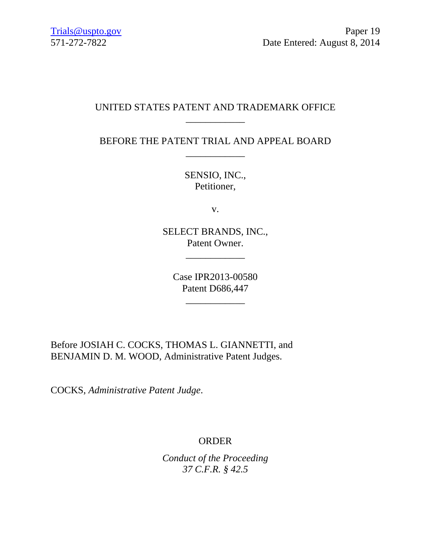## UNITED STATES PATENT AND TRADEMARK OFFICE \_\_\_\_\_\_\_\_\_\_\_\_

BEFORE THE PATENT TRIAL AND APPEAL BOARD \_\_\_\_\_\_\_\_\_\_\_\_

> SENSIO, INC., Petitioner,

> > v.

SELECT BRANDS, INC., Patent Owner.

\_\_\_\_\_\_\_\_\_\_\_\_

Case IPR2013-00580 Patent D686,447

\_\_\_\_\_\_\_\_\_\_\_\_

Before JOSIAH C. COCKS, THOMAS L. GIANNETTI, and BENJAMIN D. M. WOOD, Administrative Patent Judges.

COCKS, *Administrative Patent Judge*.

# ORDER

*Conduct of the Proceeding 37 C.F.R. § 42.5*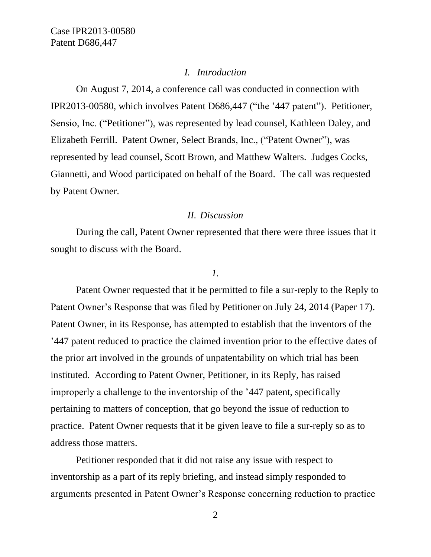#### *I. Introduction*

On August 7, 2014, a conference call was conducted in connection with IPR2013-00580, which involves Patent D686,447 ("the '447 patent"). Petitioner, Sensio, Inc. ("Petitioner"), was represented by lead counsel, Kathleen Daley, and Elizabeth Ferrill. Patent Owner, Select Brands, Inc., ("Patent Owner"), was represented by lead counsel, Scott Brown, and Matthew Walters. Judges Cocks, Giannetti, and Wood participated on behalf of the Board. The call was requested by Patent Owner.

#### *II. Discussion*

During the call, Patent Owner represented that there were three issues that it sought to discuss with the Board.

### *1.*

Patent Owner requested that it be permitted to file a sur-reply to the Reply to Patent Owner's Response that was filed by Petitioner on July 24, 2014 (Paper 17). Patent Owner, in its Response, has attempted to establish that the inventors of the '447 patent reduced to practice the claimed invention prior to the effective dates of the prior art involved in the grounds of unpatentability on which trial has been instituted. According to Patent Owner, Petitioner, in its Reply, has raised improperly a challenge to the inventorship of the '447 patent, specifically pertaining to matters of conception, that go beyond the issue of reduction to practice. Patent Owner requests that it be given leave to file a sur-reply so as to address those matters.

Petitioner responded that it did not raise any issue with respect to inventorship as a part of its reply briefing, and instead simply responded to arguments presented in Patent Owner's Response concerning reduction to practice

2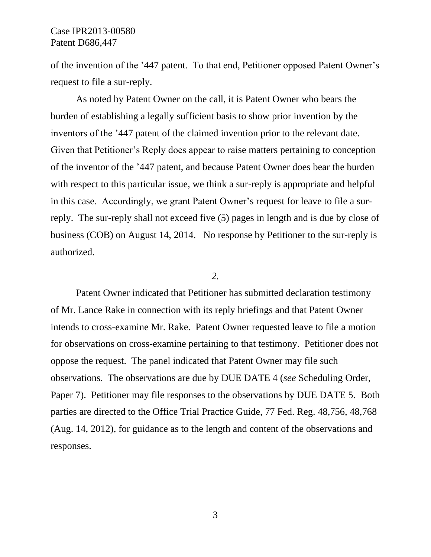of the invention of the '447 patent. To that end, Petitioner opposed Patent Owner's request to file a sur-reply.

As noted by Patent Owner on the call, it is Patent Owner who bears the burden of establishing a legally sufficient basis to show prior invention by the inventors of the '447 patent of the claimed invention prior to the relevant date. Given that Petitioner's Reply does appear to raise matters pertaining to conception of the inventor of the '447 patent, and because Patent Owner does bear the burden with respect to this particular issue, we think a sur-reply is appropriate and helpful in this case. Accordingly, we grant Patent Owner's request for leave to file a surreply. The sur-reply shall not exceed five (5) pages in length and is due by close of business (COB) on August 14, 2014. No response by Petitioner to the sur-reply is authorized.

#### *2.*

Patent Owner indicated that Petitioner has submitted declaration testimony of Mr. Lance Rake in connection with its reply briefings and that Patent Owner intends to cross-examine Mr. Rake. Patent Owner requested leave to file a motion for observations on cross-examine pertaining to that testimony. Petitioner does not oppose the request. The panel indicated that Patent Owner may file such observations. The observations are due by DUE DATE 4 (*see* Scheduling Order, Paper 7). Petitioner may file responses to the observations by DUE DATE 5. Both parties are directed to the Office Trial Practice Guide, 77 Fed. Reg. 48,756, 48,768 (Aug. 14, 2012), for guidance as to the length and content of the observations and responses.

3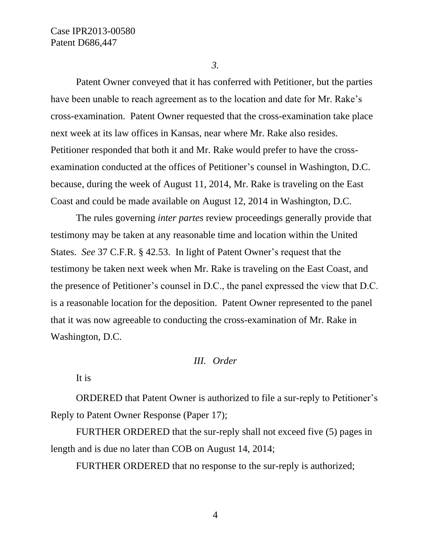*3.*

Patent Owner conveyed that it has conferred with Petitioner, but the parties have been unable to reach agreement as to the location and date for Mr. Rake's cross-examination. Patent Owner requested that the cross-examination take place next week at its law offices in Kansas, near where Mr. Rake also resides. Petitioner responded that both it and Mr. Rake would prefer to have the crossexamination conducted at the offices of Petitioner's counsel in Washington, D.C. because, during the week of August 11, 2014, Mr. Rake is traveling on the East Coast and could be made available on August 12, 2014 in Washington, D.C.

The rules governing *inter partes* review proceedings generally provide that testimony may be taken at any reasonable time and location within the United States. *See* 37 C.F.R. § 42.53. In light of Patent Owner's request that the testimony be taken next week when Mr. Rake is traveling on the East Coast, and the presence of Petitioner's counsel in D.C., the panel expressed the view that D.C. is a reasonable location for the deposition. Patent Owner represented to the panel that it was now agreeable to conducting the cross-examination of Mr. Rake in Washington, D.C.

### *III. Order*

It is

ORDERED that Patent Owner is authorized to file a sur-reply to Petitioner's Reply to Patent Owner Response (Paper 17);

FURTHER ORDERED that the sur-reply shall not exceed five (5) pages in length and is due no later than COB on August 14, 2014;

FURTHER ORDERED that no response to the sur-reply is authorized;

4